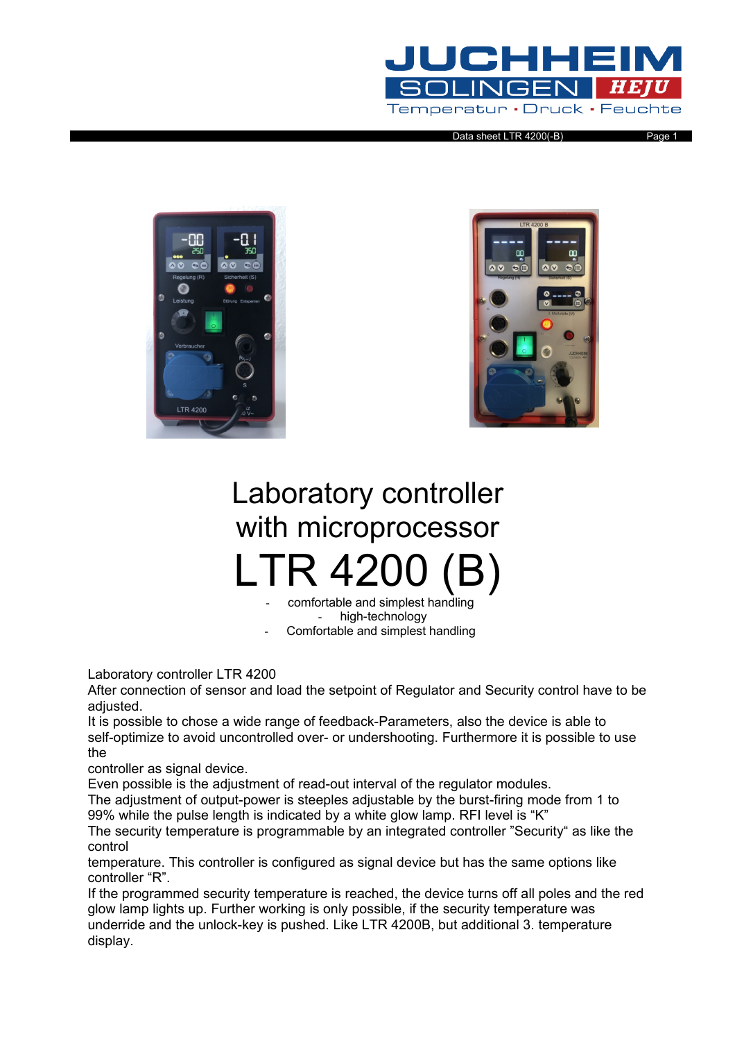

Data sheet LTR 4200(-B) Page 1





## Laboratory controller with microprocessor LTR 4

comfortable and simplest handling high-technology

Comfortable and simplest handling

Laboratory controller LTR 4200

After connection of sensor and load the setpoint of Regulator and Security control have to be adjusted.

It is possible to chose a wide range of feedback-Parameters, also the device is able to self-optimize to avoid uncontrolled over- or undershooting. Furthermore it is possible to use the

controller as signal device.

Even possible is the adjustment of read-out interval of the regulator modules.

The adjustment of output-power is steeples adjustable by the burst-firing mode from 1 to 99% while the pulse length is indicated by a white glow lamp. RFI level is "K"

The security temperature is programmable by an integrated controller "Security" as like the control

temperature. This controller is configured as signal device but has the same options like controller "R".

If the programmed security temperature is reached, the device turns off all poles and the red glow lamp lights up. Further working is only possible, if the security temperature was underride and the unlock-key is pushed. Like LTR 4200B, but additional 3. temperature display.